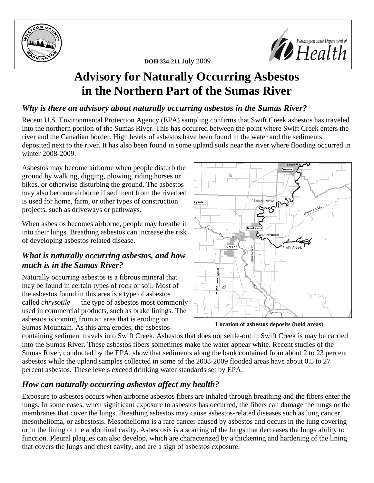



# **Advisory for Naturally Occurring Asbestos in the Northern Part of the Sumas River**

### *Why is there an advisory about naturally occurring asbestos in the Sumas River?*

Recent U.S. Environmental Protection Agency (EPA) sampling confirms that Swift Creek asbestos has traveled into the northern portion of the Sumas River. This has occurred between the point where Swift Creek enters the river and the Canadian border. High levels of asbestos have been found in the water and the sediments deposited next to the river. It has also been found in some upland soils near the river where flooding occurred in winter 2008-2009.

Asbestos may become airborne when people disturb the ground by walking, digging, plowing, riding horses or bikes, or otherwise disturbing the ground. The asbestos may also become airborne if sediment from the riverbed is used for home, farm, or other types of construction projects, such as driveways or pathways.

When asbestos becomes airborne, people may breathe it into their lungs. Breathing asbestos can increase the risk of developing asbestos related disease.

# *What is naturally occurring asbestos, and how much is in the Sumas River?*

Naturally occurring asbestos is a fibrous mineral that may be found in certain types of rock or soil. Most of the asbestos found in this area is a type of asbestos called *chrysotile* — the type of asbestos most commonly used in commercial products, such as brake linings. The asbestos is coming from an area that is eroding on Sumas Mountain. As this area erodes, the asbestos-



**Location of asbestos deposits (bold areas)**

containing sediment travels into Swift Creek. Asbestos that does not settle-out in Swift Creek is may be carried into the Sumas River. These asbestos fibers sometimes make the water appear white. Recent studies of the Sumas River, conducted by the EPA, show that sediments along the bank contained from about 2 to 23 percent asbestos while the upland samples collected in some of the 2008-2009 flooded areas have about 0.5 to 27 percent asbestos. These levels exceed drinking water standards set by EPA.

# *How can naturally occurring asbestos affect my health?*

Exposure to asbestos occurs when airborne asbestos fibers are inhaled through breathing and the fibers enter the lungs. In some cases, when significant exposure to asbestos has occurred, the fibers can damage the lungs or the membranes that cover the lungs. Breathing asbestos may cause asbestos-related diseases such as lung cancer, mesothelioma, or asbestosis. Mesothelioma is a rare cancer caused by asbestos and occurs in the lung covering or in the lining of the abdominal cavity. Asbestosis is a scarring of the lungs that decreases the lungs ability to function. Pleural plaques can also develop, which are characterized by a thickening and hardening of the lining that covers the lungs and chest cavity, and are a sign of asbestos exposure.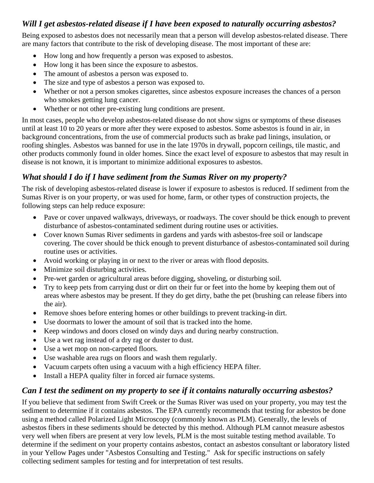#### *Will I get asbestos-related disease if I have been exposed to naturally occurring asbestos?*

Being exposed to asbestos does not necessarily mean that a person will develop asbestos-related disease. There are many factors that contribute to the risk of developing disease. The most important of these are:

- How long and how frequently a person was exposed to asbestos.
- How long it has been since the exposure to asbestos.
- The amount of asbestos a person was exposed to.
- The size and type of asbestos a person was exposed to.
- Whether or not a person smokes cigarettes, since asbestos exposure increases the chances of a person who smokes getting lung cancer.
- Whether or not other pre-existing lung conditions are present.

In most cases, people who develop asbestos-related disease do not show signs or symptoms of these diseases until at least 10 to 20 years or more after they were exposed to asbestos. Some asbestos is found in air, in background concentrations, from the use of commercial products such as brake pad linings, insulation, or roofing shingles. Asbestos was banned for use in the late 1970s in drywall, popcorn ceilings, tile mastic, and other products commonly found in older homes. Since the exact level of exposure to asbestos that may result in disease is not known, it is important to minimize additional exposures to asbestos.

## *What should I do if I have sediment from the Sumas River on my property?*

The risk of developing asbestos-related disease is lower if exposure to asbestos is reduced. If sediment from the Sumas River is on your property, or was used for home, farm, or other types of construction projects, the following steps can help reduce exposure:

- Pave or cover unpaved walkways, driveways, or roadways. The cover should be thick enough to prevent disturbance of asbestos-contaminated sediment during routine uses or activities.
- Cover known Sumas River sediments in gardens and yards with asbestos-free soil or landscape covering. The cover should be thick enough to prevent disturbance of asbestos-contaminated soil during routine uses or activities.
- Avoid working or playing in or next to the river or areas with flood deposits.
- Minimize soil disturbing activities.
- Pre-wet garden or agricultural areas before digging, shoveling, or disturbing soil.
- Try to keep pets from carrying dust or dirt on their fur or feet into the home by keeping them out of areas where asbestos may be present. If they do get dirty, bathe the pet (brushing can release fibers into the air).
- Remove shoes before entering homes or other buildings to prevent tracking-in dirt.
- Use doormats to lower the amount of soil that is tracked into the home.
- Keep windows and doors closed on windy days and during nearby construction.
- Use a wet rag instead of a dry rag or duster to dust.
- Use a wet mop on non-carpeted floors.
- Use washable area rugs on floors and wash them regularly.
- Vacuum carpets often using a vacuum with a high efficiency HEPA filter.
- Install a HEPA quality filter in forced air furnace systems.

#### *Can I test the sediment on my property to see if it contains naturally occurring asbestos?*

If you believe that sediment from Swift Creek or the Sumas River was used on your property, you may test the sediment to determine if it contains asbestos. The EPA currently recommends that testing for asbestos be done using a method called Polarized Light Microscopy (commonly known as PLM). Generally, the levels of asbestos fibers in these sediments should be detected by this method. Although PLM cannot measure asbestos very well when fibers are present at very low levels, PLM is the most suitable testing method available. To determine if the sediment on your property contains asbestos, contact an asbestos consultant or laboratory listed in your Yellow Pages under "Asbestos Consulting and Testing." Ask for specific instructions on safely collecting sediment samples for testing and for interpretation of test results.